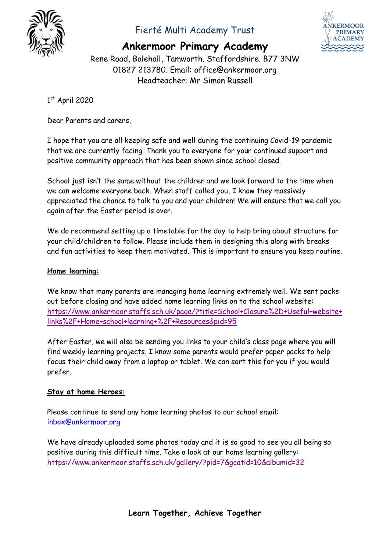

## Fierté Multi Academy Trust



## **Ankermoor Primary Academy**

Rene Road, Bolehall, Tamworth. Staffordshire. B77 3NW 01827 213780. Email: office@ankermoor.org Headteacher: Mr Simon Russell

### 1st April 2020

Dear Parents and carers,

I hope that you are all keeping safe and well during the continuing Covid-19 pandemic that we are currently facing. Thank you to everyone for your continued support and positive community approach that has been shown since school closed.

School just isn't the same without the children and we look forward to the time when we can welcome everyone back. When staff called you, I know they massively appreciated the chance to talk to you and your children! We will ensure that we call you again after the Easter period is over.

We do recommend setting up a timetable for the day to help bring about structure for your child/children to follow. Please include them in designing this along with breaks and fun activities to keep them motivated. This is important to ensure you keep routine.

#### **Home learning:**

We know that many parents are managing home learning extremely well. We sent packs out before closing and have added home learning links on to the school website: [https://www.ankermoor.staffs.sch.uk/page/?title=School+Closure%2D+Useful+website+](https://www.ankermoor.staffs.sch.uk/page/?title=School+Closure%2D+Useful+website+links%2F+Home+school+learning+%2F+Resources&pid=95) [links%2F+Home+school+learning+%2F+Resources&pid=95](https://www.ankermoor.staffs.sch.uk/page/?title=School+Closure%2D+Useful+website+links%2F+Home+school+learning+%2F+Resources&pid=95)

After Easter, we will also be sending you links to your child's class page where you will find weekly learning projects. I know some parents would prefer paper packs to help focus their child away from a laptop or tablet. We can sort this for you if you would prefer.

### **Stay at home Heroes:**

Please continue to send any home learning photos to our school email: [inbox@ankermoor.org](mailto:inbox@ankermoor.org)

We have already uploaded some photos today and it is so good to see you all being so positive during this difficult time. Take a look at our home learning gallery: <https://www.ankermoor.staffs.sch.uk/gallery/?pid=7&gcatid=10&albumid=32>